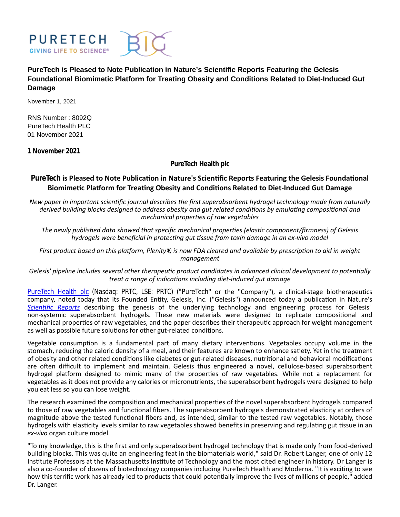

**PureTech is Pleased to Note Publication in Nature's Scientific Reports Featuring the Gelesis Foundational Biomimetic Platform for Treating Obesity and Conditions Related to Diet-Induced Gut Damage**

November 1, 2021

RNS Number : 8092Q PureTech Health PLC 01 November 2021

**1 November 2021**

**PureTech Health plc**

# PureTech is Pleased to Note Publication in Nature's Scientific Reports Featuring the Gelesis Foundational **Biomimetic Platform for Treating Obesity and Conditions Related to Diet-Induced Gut Damage**

*New paper in important scientific journal describes the first superabsorbent hydrogel technology made from naturally* derived building blocks designed to address obesity and gut related conditions by emulating compositional and *mechanical properƟes of raw vegetables*

The newly published data showed that specific mechanical properties (elastic component/firmness) of Gelesis *hydrogels were beneficial in protecting gut tissue from toxin damage in an ex-vivo model* 

*First product based on this platform, Plenity®*, *is now FDA cleared and available by prescription to aid in weight management*

Gelesis' pipeline includes several other therapeutic product candidates in advanced clinical development to potentially *treat a range of indicaƟons including diet-induced gut damage*

[PureTech Health plc](https://puretechhealth.com/) (Nasdaq: PRTC, LSE: PRTC) ("PureTech" or the "Company"), a clinical-stage biotherapeutics company, noted today that its Founded Entity, Gelesis, Inc. ("Gelesis") announced today a publication in Nature's *[ScienƟfic Reports](http://www.nature.com/articles/s41598-021-00884-5)* describing the genesis of the underlying technology and engineering process for Gelesis' non-systemic superabsorbent hydrogels. These new materials were designed to replicate compositional and mechanical properties of raw vegetables, and the paper describes their therapeutic approach for weight management as well as possible future solutions for other gut-related conditions.

Vegetable consumption is a fundamental part of many dietary interventions. Vegetables occupy volume in the stomach, reducing the caloric density of a meal, and their features are known to enhance satiety. Yet in the treatment of obesity and other related conditions like diabetes or gut-related diseases, nutritional and behavioral modifications are often difficult to implement and maintain. Gelesis thus engineered a novel, cellulose-based superabsorbent hydrogel platform designed to mimic many of the properties of raw vegetables. While not a replacement for vegetables as it does not provide any calories or micronutrients, the superabsorbent hydrogels were designed to help you eat less so you can lose weight.

The research examined the composition and mechanical properties of the novel superabsorbent hydrogels compared to those of raw vegetables and functional fibers. The superabsorbent hydrogels demonstrated elasticity at orders of magnitude above the tested functional fibers and, as intended, similar to the tested raw vegetables. Notably, those hydrogels with elasticity levels similar to raw vegetables showed benefits in preserving and regulating gut tissue in an *ex-vivo* organ culture model.

"To my knowledge, this is the first and only superabsorbent hydrogel technology that is made only from food-derived building blocks. This was quite an engineering feat in the biomaterials world," said Dr. Robert Langer, one of only 12 Institute Professors at the Massachusetts Institute of Technology and the most cited engineer in history. Dr Langer is also a co-founder of dozens of biotechnology companies including PureTech Health and Moderna. "It is exciting to see how this terrific work has already led to products that could potentially improve the lives of millions of people," added Dr. Langer.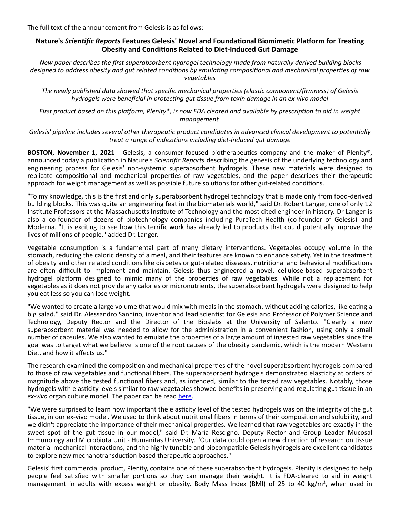The full text of the announcement from Gelesis is as follows:

## Nature's *Scientific Reports* Features Gelesis' Novel and Foundational Biomimetic Platform for Treating **Obesity and Conditions Related to Diet-Induced Gut Damage**

*New paper describes the first superabsorbent hydrogel technology made from naturally derived building blocks* designed to address obesity and gut related conditions by emulating compositional and mechanical properties of raw *vegetables*

The newly published data showed that specific mechanical properties (elastic component/firmness) of Gelesis *hydrogels were beneficial in protecting gut tissue from toxin damage in an ex-vivo model* 

*First product based on this platform, Plenity®*, *is now FDA cleared and available by prescription to aid in weight management*

Gelesis' pipeline includes several other therapeutic product candidates in advanced clinical development to potentially *treat a range of indicaƟons including diet-induced gut damage*

**BOSTON, November 1, 2021** - Gelesis, a consumer-focused biotherapeutics company and the maker of Plenity®, announced today a publication in Nature's *Scientific Reports* describing the genesis of the underlying technology and engineering process for Gelesis' non-systemic superabsorbent hydrogels. These new materials were designed to replicate compositional and mechanical properties of raw vegetables, and the paper describes their therapeutic approach for weight management as well as possible future solutions for other gut-related conditions.

"To my knowledge, this is the first and only superabsorbent hydrogel technology that is made only from food-derived building blocks. This was quite an engineering feat in the biomaterials world," said Dr. Robert Langer, one of only 12 Institute Professors at the Massachusetts Institute of Technology and the most cited engineer in history. Dr Langer is also a co-founder of dozens of biotechnology companies including PureTech Health (co-founder of Gelesis) and Moderna. "It is exciting to see how this terrific work has already led to products that could potentially improve the lives of millions of people," added Dr. Langer.

Vegetable consumption is a fundamental part of many dietary interventions. Vegetables occupy volume in the stomach, reducing the caloric density of a meal, and their features are known to enhance satiety. Yet in the treatment of obesity and other related conditions like diabetes or gut-related diseases, nutritional and behavioral modifications are often difficult to implement and maintain. Gelesis thus engineered a novel, cellulose-based superabsorbent hydrogel platform designed to mimic many of the properties of raw vegetables. While not a replacement for vegetables as it does not provide any calories or micronutrients, the superabsorbent hydrogels were designed to help you eat less so you can lose weight.

"We wanted to create a large volume that would mix with meals in the stomach, without adding calories, like eating a big salad." said Dr. Alessandro Sannino, inventor and lead scientist for Gelesis and Professor of Polymer Science and Technology, Deputy Rector and the Director of the Bioslabs at the University of Salento. "Clearly a new superabsorbent material was needed to allow for the administration in a convenient fashion, using only a small number of capsules. We also wanted to emulate the properties of a large amount of ingested raw vegetables since the goal was to target what we believe is one of the root causes of the obesity pandemic, which is the modern Western Diet, and how it affects us."

The research examined the composition and mechanical properties of the novel superabsorbent hydrogels compared to those of raw vegetables and functional fibers. The superabsorbent hydrogels demonstrated elasticity at orders of magnitude above the tested functional fibers and, as intended, similar to the tested raw vegetables. Notably, those hydrogels with elasticity levels similar to raw vegetables showed benefits in preserving and regulating gut tissue in an *ex-vivo* organ culture model. The paper can be read [here.](http://www.nature.com/articles/s41598-021-00884-5)

"We were surprised to learn how important the elasticity level of the tested hydrogels was on the integrity of the gut tissue, in our ex-vivo model. We used to think about nutritional fibers in terms of their composition and solubility, and we didn't appreciate the importance of their mechanical properties. We learned that raw vegetables are exactly in the sweet spot of the gut tissue in our model," said Dr. Maria Rescigno, Deputy Rector and Group Leader Mucosal Immunology and Microbiota Unit - Humanitas University. "Our data could open a new direction of research on tissue material mechanical interactions, and the highly tunable and biocompatible Gelesis hydrogels are excellent candidates to explore new mechanotransduction based therapeutic approaches."

Gelesis' first commercial product, Plenity, contains one of these superabsorbent hydrogels. Plenity is designed to help people feel satisfied with smaller portions so they can manage their weight. It is FDA-cleared to aid in weight management in adults with excess weight or obesity, Body Mass Index (BMI) of 25 to 40 kg/m<sup>2</sup>, when used in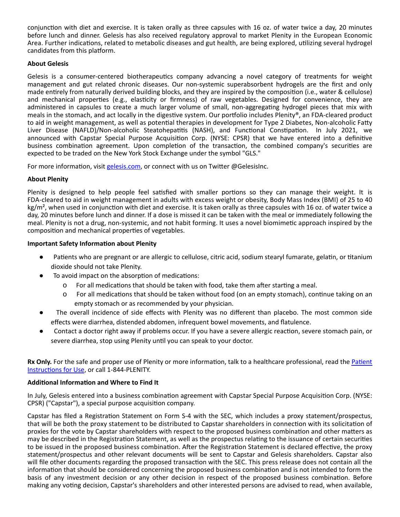conjunction with diet and exercise. It is taken orally as three capsules with 16 oz. of water twice a day, 20 minutes before lunch and dinner. Gelesis has also received regulatory approval to market Plenity in the European Economic Area. Further indications, related to metabolic diseases and gut health, are being explored, utilizing several hydrogel candidates from this platform.

## **About Gelesis**

Gelesis is a consumer-centered biotherapeutics company advancing a novel category of treatments for weight management and gut related chronic diseases. Our non-systemic superabsorbent hydrogels are the first and only made entirely from naturally derived building blocks, and they are inspired by the composition (i.e., water & cellulose) and mechanical properties (e.g., elasticity or firmness) of raw vegetables. Designed for convenience, they are administered in capsules to create a much larger volume of small, non-aggregating hydrogel pieces that mix with meals in the stomach, and act locally in the digestive system. Our portfolio includes Plenity®, an FDA-cleared product to aid in weight management, as well as potential therapies in development for Type 2 Diabetes, Non-alcoholic Fatty Liver Disease (NAFLD)/Non-alcoholic Steatohepatitis (NASH), and Functional Constipation. In July 2021, we announced with Capstar Special Purpose Acquisition Corp. (NYSE: CPSR) that we have entered into a definitive business combination agreement. Upon completion of the transaction, the combined company's securities are expected to be traded on the New York Stock Exchange under the symbol "GLS."

For more information, visit [gelesis.com,](http://gelesis.com/) or connect with us on Twitter @GelesisInc.

## **About Plenity**

Plenity is designed to help people feel satisfied with smaller portions so they can manage their weight. It is FDA-cleared to aid in weight management in adults with excess weight or obesity, Body Mass Index (BMI) of 25 to 40  $kg/m<sup>2</sup>$ , when used in conjunction with diet and exercise. It is taken orally as three capsules with 16 oz. of water twice a day, 20 minutes before lunch and dinner. If a dose is missed it can be taken with the meal or immediately following the meal. Plenity is not a drug, non-systemic, and not habit forming. It uses a novel biomimetic approach inspired by the composition and mechanical properties of vegetables.

## **Important Safety InformaƟon about Plenity**

- Patients who are pregnant or are allergic to cellulose, citric acid, sodium stearyl fumarate, gelatin, or titanium dioxide should not take Plenity.
- To avoid impact on the absorption of medications:
	- $\circ$  For all medications that should be taken with food, take them after starting a meal.
	- $\circ$  For all medications that should be taken without food (on an empty stomach), continue taking on an empty stomach or as recommended by your physician.
- The overall incidence of side effects with Plenity was no different than placebo. The most common side effects were diarrhea, distended abdomen, infrequent bowel movements, and flatulence.
- Contact a doctor right away if problems occur. If you have a severe allergic reaction, severe stomach pain, or severe diarrhea, stop using Plenity until you can speak to your doctor.

Rx Only. For the safe and proper use of Plenity or more information, talk to a healthcare professional, read the Patient Instructions for Use, or call 1-844-PLENITY.

## **AddiƟonal InformaƟon and Where to Find It**

In July, Gelesis entered into a business combination agreement with Capstar Special Purpose Acquisition Corp. (NYSE: CPSR) ("Capstar"), a special purpose acquisition company.

Capstar has filed a Registration Statement on Form S-4 with the SEC, which includes a proxy statement/prospectus, that will be both the proxy statement to be distributed to Capstar shareholders in connection with its solicitation of proxies for the vote by Capstar shareholders with respect to the proposed business combination and other matters as may be described in the Registration Statement, as well as the prospectus relating to the issuance of certain securities to be issued in the proposed business combination. After the Registration Statement is declared effective, the proxy statement/prospectus and other relevant documents will be sent to Capstar and Gelesis shareholders. Capstar also will file other documents regarding the proposed transaction with the SEC. This press release does not contain all the information that should be considered concerning the proposed business combination and is not intended to form the basis of any investment decision or any other decision in respect of the proposed business combination. Before making any voting decision, Capstar's shareholders and other interested persons are advised to read, when available,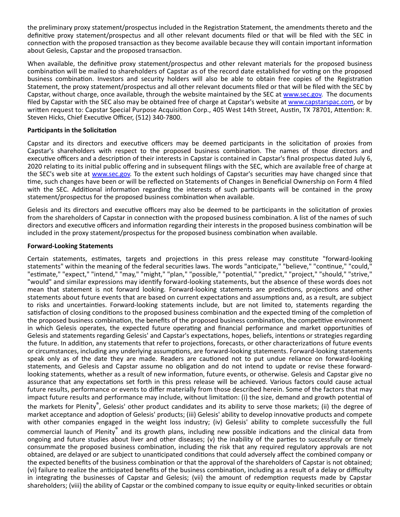the preliminary proxy statement/prospectus included in the Registration Statement, the amendments thereto and the definitive proxy statement/prospectus and all other relevant documents filed or that will be filed with the SEC in connection with the proposed transaction as they become available because they will contain important information about Gelesis, Capstar and the proposed transaction.

When available, the definitive proxy statement/prospectus and other relevant materials for the proposed business combination will be mailed to shareholders of Capstar as of the record date established for voting on the proposed business combination. Investors and security holders will also be able to obtain free copies of the Registration Statement, the proxy statement/prospectus and all other relevant documents filed or that will be filed with the SEC by Capstar, without charge, once available, through the website maintained by the SEC at [www.sec.gov.](http://www.sec.gov/) The documents filed by Capstar with the SEC also may be obtained free of charge at Capstar's website at [www.capstarspac.com,](http://www.capstarspac.com/) or by written request to: Capstar Special Purpose Acquisition Corp., 405 West 14th Street, Austin, TX 78701, Attention: R. Steven Hicks, Chief Executive Officer, (512) 340-7800.

### **Participants in the Solicitation**

Capstar and its directors and executive officers may be deemed participants in the solicitation of proxies from Capstar's shareholders with respect to the proposed business combination. The names of those directors and executive officers and a description of their interests in Capstar is contained in Capstar's final prospectus dated July 6, 2020 relating to its initial public offering and in subsequent filings with the SEC, which are available free of charge at the SEC's web site at [www.sec.gov.](http://www.sec.gov/) To the extent such holdings of Capstar's securities may have changed since that time, such changes have been or will be reflected on Statements of Changes in Beneficial Ownership on Form 4 filed with the SEC. Additional information regarding the interests of such participants will be contained in the proxy statement/prospectus for the proposed business combination when available.

Gelesis and its directors and executive officers may also be deemed to be participants in the solicitation of proxies from the shareholders of Capstar in connection with the proposed business combination. A list of the names of such directors and executive officers and information regarding their interests in the proposed business combination will be included in the proxy statement/prospectus for the proposed business combination when available.

#### **Forward-Looking Statements**

Certain statements, estimates, targets and projections in this press release may constitute "forward-looking statements" within the meaning of the federal securities laws. The words "anticipate," "believe," "continue," "could," "estimate," "expect," "intend," "may," "might," "plan," "possible," "potential," "predict," "project," "should," "strive," "would" and similar expressions may identify forward-looking statements, but the absence of these words does not mean that statement is not forward looking. Forward-looking statements are predictions, projections and other statements about future events that are based on current expectations and assumptions and, as a result, are subject to risks and uncertainties. Forward-looking statements include, but are not limited to, statements regarding the satisfaction of closing conditions to the proposed business combination and the expected timing of the completion of the proposed business combination, the benefits of the proposed business combination, the competitive environment in which Gelesis operates, the expected future operating and financial performance and market opportunities of Gelesis and statements regarding Gelesis' and Capstar's expectations, hopes, beliefs, intentions or strategies regarding the future. In addition, any statements that refer to projections, forecasts, or other characterizations of future events or circumstances, including any underlying assumptions, are forward-looking statements. Forward-looking statements speak only as of the date they are made. Readers are cautioned not to put undue reliance on forward-looking statements, and Gelesis and Capstar assume no obligation and do not intend to update or revise these forwardlooking statements, whether as a result of new information, future events, or otherwise. Gelesis and Capstar give no assurance that any expectations set forth in this press release will be achieved. Various factors could cause actual future results, performance or events to differ materially from those described herein. Some of the factors that may impact future results and performance may include, without limitation: (i) the size, demand and growth potential of the markets for Plenity<sup>®</sup>, Gelesis' other product candidates and its ability to serve those markets; (ii) the degree of market acceptance and adoption of Gelesis' products; (iii) Gelesis' ability to develop innovative products and compete with other companies engaged in the weight loss industry; (iv) Gelesis' ability to complete successfully the full commercial launch of Plenity® and its growth plans, including new possible indications and the clinical data from ongoing and future studies about liver and other diseases; (v) the inability of the parties to successfully or timely consummate the proposed business combination, including the risk that any required regulatory approvals are not obtained, are delayed or are subject to unanticipated conditions that could adversely affect the combined company or the expected benefits of the business combination or that the approval of the shareholders of Capstar is not obtained; (vi) failure to realize the anticipated benefits of the business combination, including as a result of a delay or difficulty in integrating the businesses of Capstar and Gelesis; (vii) the amount of redemption requests made by Capstar shareholders; (viii) the ability of Capstar or the combined company to issue equity or equity-linked securities or obtain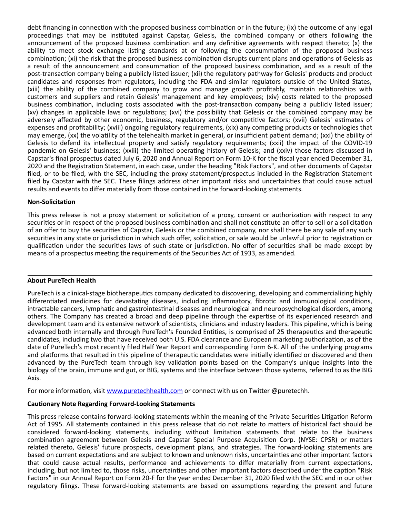debt financing in connection with the proposed business combination or in the future; (ix) the outcome of any legal proceedings that may be instituted against Capstar, Gelesis, the combined company or others following the announcement of the proposed business combination and any definitive agreements with respect thereto; (x) the ability to meet stock exchange listing standards at or following the consummation of the proposed business combination; (xi) the risk that the proposed business combination disrupts current plans and operations of Gelesis as a result of the announcement and consummation of the proposed business combination, and as a result of the post-transaction company being a publicly listed issuer; (xii) the regulatory pathway for Gelesis' products and product candidates and responses from regulators, including the FDA and similar regulators outside of the United States, (xiii) the ability of the combined company to grow and manage growth profitably, maintain relationships with customers and suppliers and retain Gelesis' management and key employees; (xiv) costs related to the proposed business combination, including costs associated with the post-transaction company being a publicly listed issuer; (xv) changes in applicable laws or regulations; (xvi) the possibility that Gelesis or the combined company may be adversely affected by other economic, business, regulatory and/or competitive factors; (xvii) Gelesis' estimates of expenses and profitability; (xviii) ongoing regulatory requirements, (xix) any competing products or technologies that may emerge, (xx) the volatility of the telehealth market in general, or insufficient patient demand; (xxi) the ability of Gelesis to defend its intellectual property and satisfy regulatory requirements; (xxii) the impact of the COVID-19 pandemic on Gelesis' business; (xxiii) the limited operating history of Gelesis; and (xxiv) those factors discussed in Capstar's final prospectus dated July 6, 2020 and Annual Report on Form 10-K for the fiscal year ended December 31, 2020 and the Registration Statement, in each case, under the heading "Risk Factors", and other documents of Capstar filed, or to be filed, with the SEC, including the proxy statement/prospectus included in the Registration Statement filed by Capstar with the SEC. These filings address other important risks and uncertainties that could cause actual results and events to differ materially from those contained in the forward-looking statements.

#### **Non-SolicitaƟon**

This press release is not a proxy statement or solicitation of a proxy, consent or authorization with respect to any securities or in respect of the proposed business combination and shall not constitute an offer to sell or a solicitation of an offer to buy the securities of Capstar, Gelesis or the combined company, nor shall there be any sale of any such securities in any state or jurisdiction in which such offer, solicitation, or sale would be unlawful prior to registration or qualification under the securities laws of such state or jurisdiction. No offer of securities shall be made except by means of a prospectus meeting the requirements of the Securities Act of 1933, as amended.

#### **About PureTech Health**

PureTech is a clinical-stage biotherapeutics company dedicated to discovering, developing and commercializing highly differentiated medicines for devastating diseases, including inflammatory, fibrotic and immunological conditions, intractable cancers, lymphatic and gastrointestinal diseases and neurological and neuropsychological disorders, among others. The Company has created a broad and deep pipeline through the expertise of its experienced research and development team and its extensive network of scientists, clinicians and industry leaders. This pipeline, which is being advanced both internally and through PureTech's Founded Entities, is comprised of 25 therapeutics and therapeutic candidates, including two that have received both U.S. FDA clearance and European marketing authorization, as of the date of PureTech's most recently filed Half Year Report and corresponding Form 6-K. All of the underlying programs and platforms that resulted in this pipeline of therapeutic candidates were initially identified or discovered and then advanced by the PureTech team through key validation points based on the Company's unique insights into the biology of the brain, immune and gut, or BIG, systems and the interface between those systems, referred to as the BIG Axis.

For more information, visit [www.puretechhealth.com o](http://www.puretechhealth.com/)r connect with us on Twitter @puretechh.

#### **CauƟonary Note Regarding Forward-Looking Statements**

This press release contains forward-looking statements within the meaning of the Private Securities Litigation Reform Act of 1995. All statements contained in this press release that do not relate to matters of historical fact should be considered forward-looking statements, including without limitation statements that relate to the business combination agreement between Gelesis and Capstar Special Purpose Acquisition Corp. (NYSE: CPSR) or matters related thereto, Gelesis' future prospects, development plans, and strategies. The forward-looking statements are based on current expectations and are subject to known and unknown risks, uncertainties and other important factors that could cause actual results, performance and achievements to differ materially from current expectations, including, but not limited to, those risks, uncertainties and other important factors described under the caption "Risk Factors" in our Annual Report on Form 20-F for the year ended December 31, 2020 filed with the SEC and in our other regulatory filings. These forward-looking statements are based on assumptions regarding the present and future